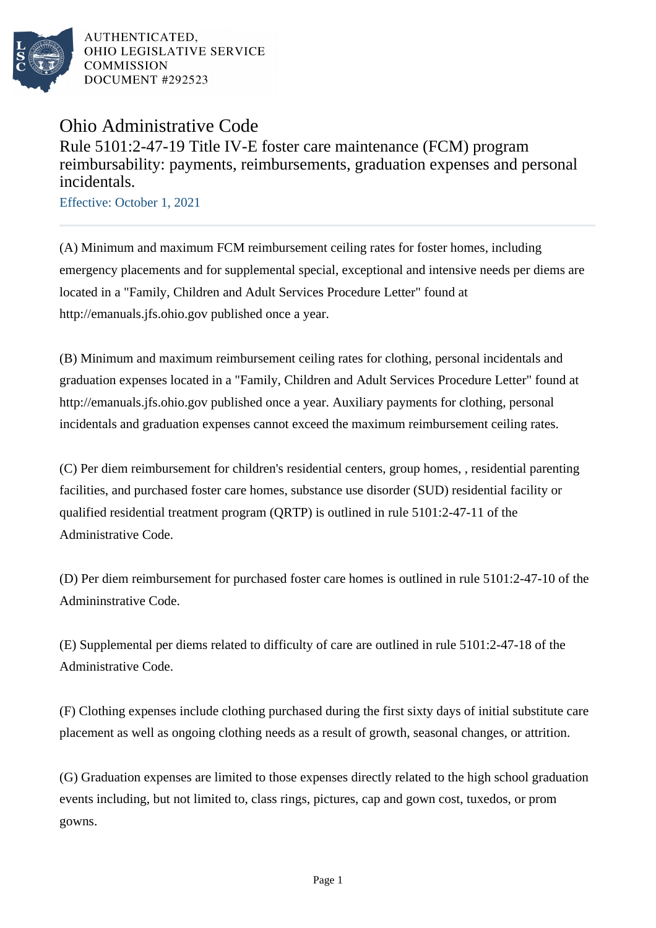

AUTHENTICATED. OHIO LEGISLATIVE SERVICE **COMMISSION** DOCUMENT #292523

## Ohio Administrative Code Rule 5101:2-47-19 Title IV-E foster care maintenance (FCM) program reimbursability: payments, reimbursements, graduation expenses and personal incidentals.

Effective: October 1, 2021

(A) Minimum and maximum FCM reimbursement ceiling rates for foster homes, including emergency placements and for supplemental special, exceptional and intensive needs per diems are located in a "Family, Children and Adult Services Procedure Letter" found at http://emanuals.jfs.ohio.gov published once a year.

(B) Minimum and maximum reimbursement ceiling rates for clothing, personal incidentals and graduation expenses located in a "Family, Children and Adult Services Procedure Letter" found at http://emanuals.jfs.ohio.gov published once a year. Auxiliary payments for clothing, personal incidentals and graduation expenses cannot exceed the maximum reimbursement ceiling rates.

(C) Per diem reimbursement for children's residential centers, group homes, , residential parenting facilities, and purchased foster care homes, substance use disorder (SUD) residential facility or qualified residential treatment program (QRTP) is outlined in rule 5101:2-47-11 of the Administrative Code.

(D) Per diem reimbursement for purchased foster care homes is outlined in rule 5101:2-47-10 of the Admininstrative Code.

(E) Supplemental per diems related to difficulty of care are outlined in rule 5101:2-47-18 of the Administrative Code.

(F) Clothing expenses include clothing purchased during the first sixty days of initial substitute care placement as well as ongoing clothing needs as a result of growth, seasonal changes, or attrition.

(G) Graduation expenses are limited to those expenses directly related to the high school graduation events including, but not limited to, class rings, pictures, cap and gown cost, tuxedos, or prom gowns.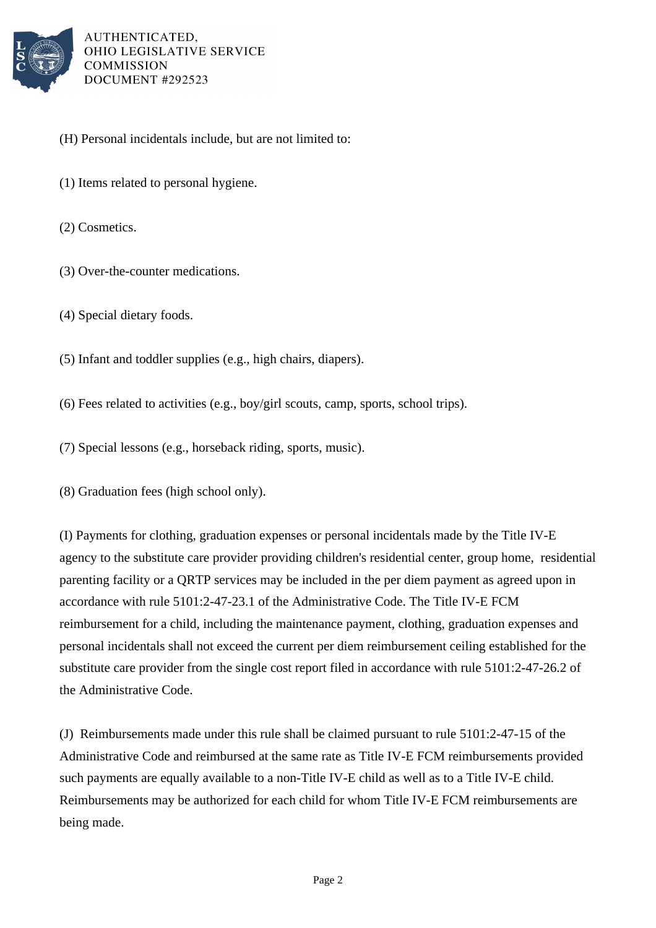

AUTHENTICATED. OHIO LEGISLATIVE SERVICE **COMMISSION** DOCUMENT #292523

- (H) Personal incidentals include, but are not limited to:
- (1) Items related to personal hygiene.
- (2) Cosmetics.
- (3) Over-the-counter medications.
- (4) Special dietary foods.
- (5) Infant and toddler supplies (e.g., high chairs, diapers).
- (6) Fees related to activities (e.g., boy/girl scouts, camp, sports, school trips).
- (7) Special lessons (e.g., horseback riding, sports, music).
- (8) Graduation fees (high school only).

(I) Payments for clothing, graduation expenses or personal incidentals made by the Title IV-E agency to the substitute care provider providing children's residential center, group home, residential parenting facility or a QRTP services may be included in the per diem payment as agreed upon in accordance with rule 5101:2-47-23.1 of the Administrative Code. The Title IV-E FCM reimbursement for a child, including the maintenance payment, clothing, graduation expenses and personal incidentals shall not exceed the current per diem reimbursement ceiling established for the substitute care provider from the single cost report filed in accordance with rule 5101:2-47-26.2 of the Administrative Code.

(J) Reimbursements made under this rule shall be claimed pursuant to rule 5101:2-47-15 of the Administrative Code and reimbursed at the same rate as Title IV-E FCM reimbursements provided such payments are equally available to a non-Title IV-E child as well as to a Title IV-E child. Reimbursements may be authorized for each child for whom Title IV-E FCM reimbursements are being made.